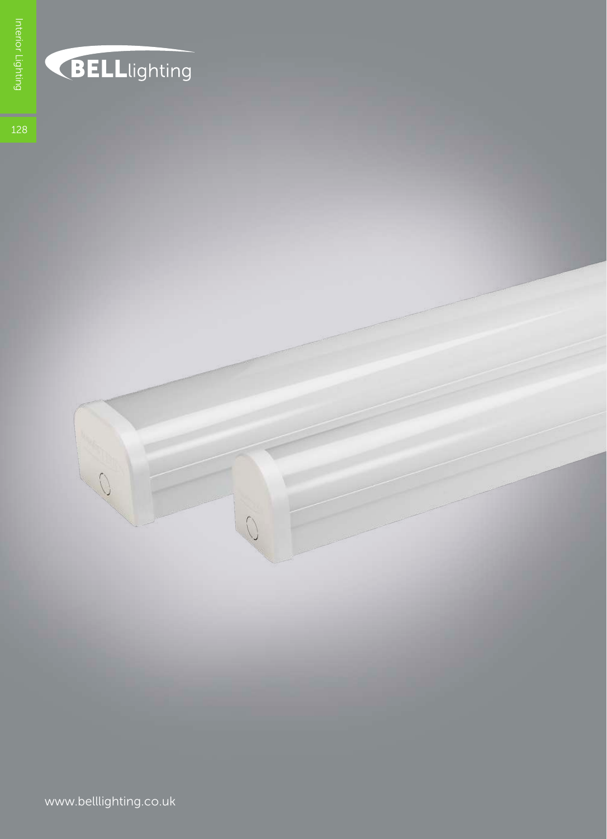## BELLlighting

www.belllighting.co.uk

 $\bigcap$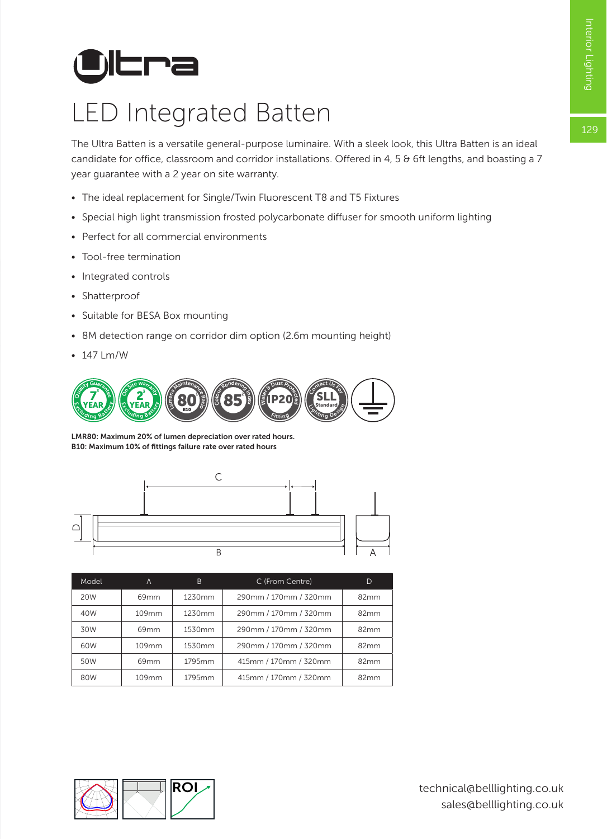# **Ultra**

## LED Integrated Batten

The Ultra Batten is a versatile general-purpose luminaire. With a sleek look, this Ultra Batten is an ideal candidate for office, classroom and corridor installations. Offered in 4, 5 & 6ft lengths, and boasting a 7 year guarantee with a 2 year on site warranty.

- The ideal replacement for Single/Twin Fluorescent T8 and T5 Fixtures
- Special high light transmission frosted polycarbonate diffuser for smooth uniform lighting
- Perfect for all commercial environments
- Tool-free termination
- Integrated controls
- Shatterproof
- Suitable for BESA Box mounting
- 8M detection range on corridor dim option (2.6m mounting height)
- 147 Lm/W



LMR80: Maximum 20% of lumen depreciation over rated hours. B10: Maximum 10% of fittings failure rate over rated hours



| Model | A                | B      | C (From Centre)       | D    |
|-------|------------------|--------|-----------------------|------|
| 20W   | 69mm             | 1230mm | 290mm / 170mm / 320mm | 82mm |
| 40W   | 109mm            | 1230mm | 290mm / 170mm / 320mm | 82mm |
| 30W   | 69 <sub>mm</sub> | 1530mm | 290mm / 170mm / 320mm | 82mm |
| 60W   | 109mm            | 1530mm | 290mm / 170mm / 320mm | 82mm |
| 50W   | 69 <sub>mm</sub> | 1795mm | 415mm / 170mm / 320mm | 82mm |
| 80W   | 109mm            | 1795mm | 415mm / 170mm / 320mm | 82mm |

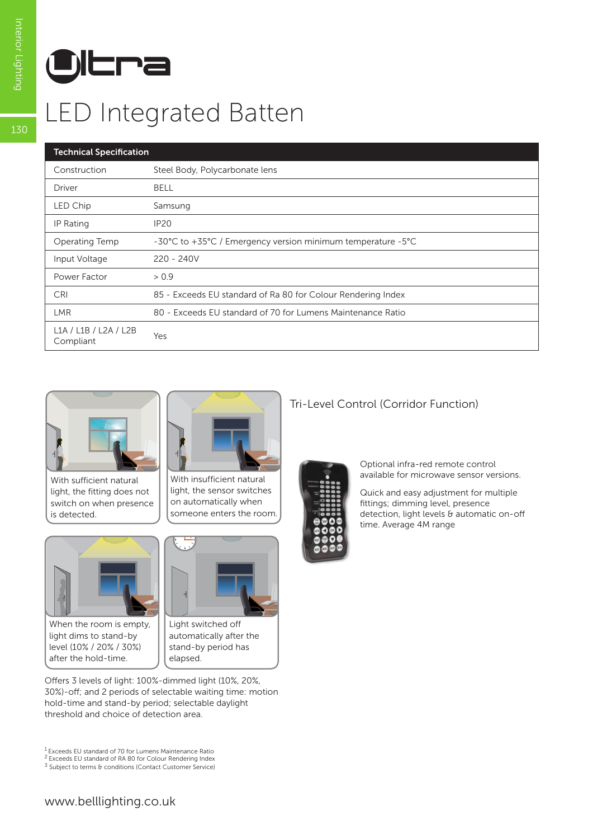

## LED Integrated Batten

### Technical Specification

| Technical Specification            |                                                              |  |  |  |
|------------------------------------|--------------------------------------------------------------|--|--|--|
| Construction                       | Steel Body, Polycarbonate lens                               |  |  |  |
| Driver                             | <b>BELL</b>                                                  |  |  |  |
| LED Chip                           | Samsung                                                      |  |  |  |
| IP Rating                          | IP20                                                         |  |  |  |
| Operating Temp                     | -30°C to +35°C / Emergency version minimum temperature -5°C  |  |  |  |
| Input Voltage                      | $220 - 240V$                                                 |  |  |  |
| Power Factor                       | > 0.9                                                        |  |  |  |
| <b>CRI</b>                         | 85 - Exceeds EU standard of Ra 80 for Colour Rendering Index |  |  |  |
| <b>LMR</b>                         | 80 - Exceeds EU standard of 70 for Lumens Maintenance Ratio  |  |  |  |
| L1A / L1B / L2A / L2B<br>Compliant | Yes                                                          |  |  |  |



With sufficient natural light, the fitting does not switch on when presence is detected.



When the room is empty, light dims to stand-by level (10% / 20% / 30%) after the hold-time.



With insufficient natural light, the sensor switches on automatically when someone enters the room.



Light switched off automatically after the stand-by period has elapsed.

Offers 3 levels of light: 100%-dimmed light (10%, 20%, 30%)-off; and 2 periods of selectable waiting time: motion hold-time and stand-by period; selectable daylight threshold and choice of detection area.

#### 1 Exceeds EU standard of 70 for Lumens Maintenance Ratio 2 Exceeds EU standard of RA 80 for Colour Rendering Index

 $3$  Subject to terms & conditions (Contact Customer Service)

### Tri-Level Control (Corridor Function)



Optional infra-red remote control available for microwave sensor versions.

Quick and easy adjustment for multiple fittings; dimming level, presence detection, light levels & automatic on-off time. Average 4M range

130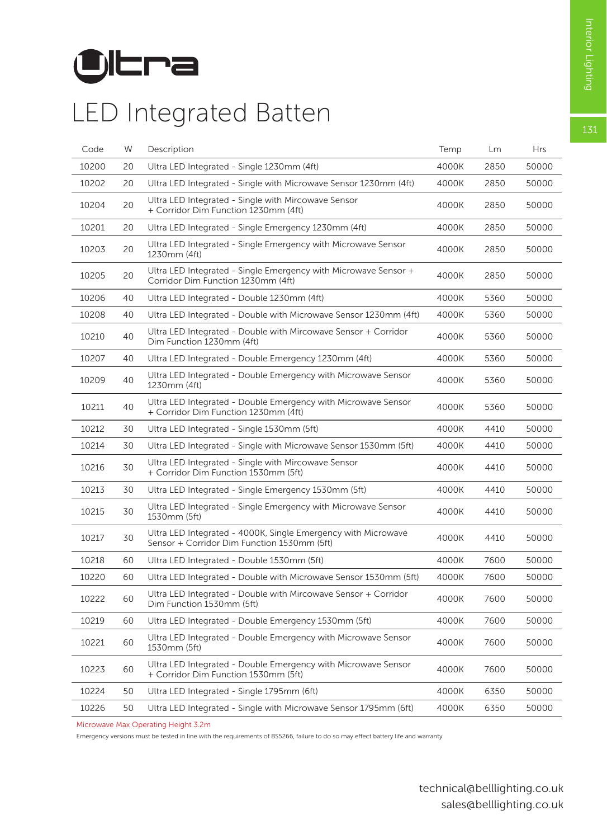131



### LED Integrated Batten

| Code  | W  | Description                                                                                                  | Temp  | Lm   | <b>Hrs</b> |
|-------|----|--------------------------------------------------------------------------------------------------------------|-------|------|------------|
| 10200 | 20 | Ultra LED Integrated - Single 1230mm (4ft)                                                                   | 4000K | 2850 | 50000      |
| 10202 | 20 | Ultra LED Integrated - Single with Microwave Sensor 1230mm (4ft)                                             | 4000K | 2850 | 50000      |
| 10204 | 20 | Ultra LED Integrated - Single with Mircowave Sensor<br>+ Corridor Dim Function 1230mm (4ft)                  | 4000K | 2850 | 50000      |
| 10201 | 20 | Ultra LED Integrated - Single Emergency 1230mm (4ft)                                                         | 4000K | 2850 | 50000      |
| 10203 | 20 | Ultra LED Integrated - Single Emergency with Microwave Sensor<br>1230mm (4ft)                                | 4000K | 2850 | 50000      |
| 10205 | 20 | Ultra LED Integrated - Single Emergency with Microwave Sensor +<br>Corridor Dim Function 1230mm (4ft)        | 4000K | 2850 | 50000      |
| 10206 | 40 | Ultra LED Integrated - Double 1230mm (4ft)                                                                   | 4000K | 5360 | 50000      |
| 10208 | 40 | Ultra LED Integrated - Double with Microwave Sensor 1230mm (4ft)                                             | 4000K | 5360 | 50000      |
| 10210 | 40 | Ultra LED Integrated - Double with Mircowave Sensor + Corridor<br>Dim Function 1230mm (4ft)                  | 4000K | 5360 | 50000      |
| 10207 | 40 | Ultra LED Integrated - Double Emergency 1230mm (4ft)                                                         | 4000K | 5360 | 50000      |
| 10209 | 40 | Ultra LED Integrated - Double Emergency with Microwave Sensor<br>1230mm (4ft)                                | 4000K | 5360 | 50000      |
| 10211 | 40 | Ultra LED Integrated - Double Emergency with Microwave Sensor<br>+ Corridor Dim Function 1230mm (4ft)        | 4000K | 5360 | 50000      |
| 10212 | 30 | Ultra LED Integrated - Single 1530mm (5ft)                                                                   | 4000K | 4410 | 50000      |
| 10214 | 30 | Ultra LED Integrated - Single with Microwave Sensor 1530mm (5ft)                                             | 4000K | 4410 | 50000      |
| 10216 | 30 | Ultra LED Integrated - Single with Mircowave Sensor<br>+ Corridor Dim Function 1530mm (5ft)                  | 4000K | 4410 | 50000      |
| 10213 | 30 | Ultra LED Integrated - Single Emergency 1530mm (5ft)                                                         | 4000K | 4410 | 50000      |
| 10215 | 30 | Ultra LED Integrated - Single Emergency with Microwave Sensor<br>1530mm (5ft)                                | 4000K | 4410 | 50000      |
| 10217 | 30 | Ultra LED Integrated - 4000K, Single Emergency with Microwave<br>Sensor + Corridor Dim Function 1530mm (5ft) | 4000K | 4410 | 50000      |
| 10218 | 60 | Ultra LED Integrated - Double 1530mm (5ft)                                                                   | 4000K | 7600 | 50000      |
| 10220 | 60 | Ultra LED Integrated - Double with Microwave Sensor 1530mm (5ft)                                             | 4000K | 7600 | 50000      |
| 10222 | 60 | Ultra LED Integrated - Double with Mircowave Sensor + Corridor<br>Dim Function 1530mm (5ft)                  | 4000K | 7600 | 50000      |
| 10219 | 60 | Ultra LED Integrated - Double Emergency 1530mm (5ft)                                                         | 4000K | 7600 | 50000      |
| 10221 | 60 | Ultra LED Integrated - Double Emergency with Microwave Sensor<br>1530mm (5ft)                                | 4000K | 7600 | 50000      |
| 10223 | 60 | Ultra LED Integrated - Double Emergency with Microwave Sensor<br>+ Corridor Dim Function 1530mm (5ft)        | 4000K | 7600 | 50000      |
| 10224 | 50 | Ultra LED Integrated - Single 1795mm (6ft)                                                                   | 4000K | 6350 | 50000      |
| 10226 | 50 | Ultra LED Integrated - Single with Microwave Sensor 1795mm (6ft)                                             | 4000K | 6350 | 50000      |

Microwave Max Operating Height 3.2m

Emergency versions must be tested in line with the requirements of BS5266, failure to do so may effect battery life and warranty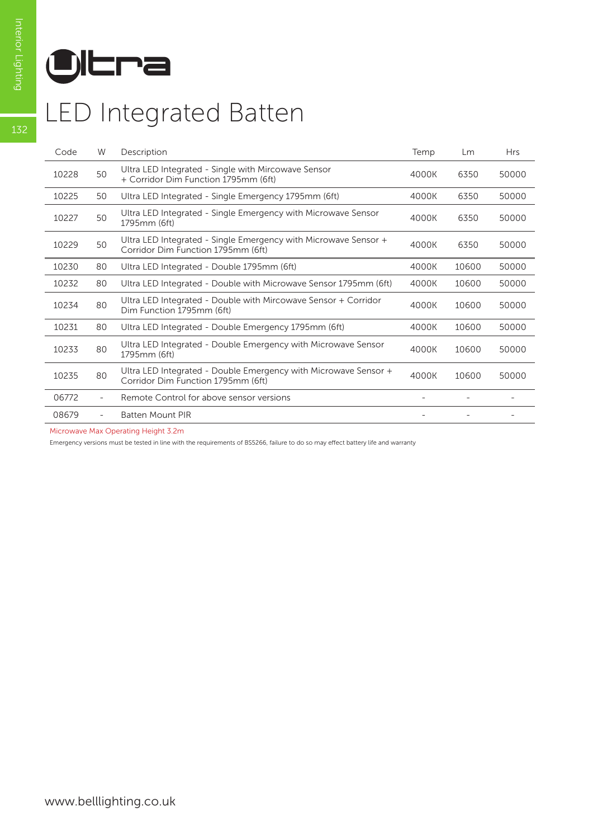

### LED Integrated Batten

| Code  | W                        | Description                                                                                           | Temp  | Lm    | <b>Hrs</b> |
|-------|--------------------------|-------------------------------------------------------------------------------------------------------|-------|-------|------------|
| 10228 | 50                       | Ultra LED Integrated - Single with Mircowave Sensor<br>+ Corridor Dim Function 1795mm (6ft)           | 4000K | 6350  | 50000      |
| 10225 | 50                       | Ultra LED Integrated - Single Emergency 1795mm (6ft)                                                  | 4000K | 6350  | 50000      |
| 10227 | 50                       | Ultra LED Integrated - Single Emergency with Microwave Sensor<br>1795mm (6ft)                         | 4000K | 6350  | 50000      |
| 10229 | 50                       | Ultra LED Integrated - Single Emergency with Microwave Sensor +<br>Corridor Dim Function 1795mm (6ft) | 4000K | 6350  | 50000      |
| 10230 | 80                       | Ultra LED Integrated - Double 1795mm (6ft)                                                            | 4000K | 10600 | 50000      |
| 10232 | 80                       | Ultra LED Integrated - Double with Microwave Sensor 1795mm (6ft)                                      | 4000K | 10600 | 50000      |
| 10234 | 80                       | Ultra LED Integrated - Double with Mircowave Sensor + Corridor<br>Dim Function 1795mm (6ft)           | 4000K | 10600 | 50000      |
| 10231 | 80                       | Ultra LED Integrated - Double Emergency 1795mm (6ft)                                                  | 4000K | 10600 | 50000      |
| 10233 | 80                       | Ultra LED Integrated - Double Emergency with Microwave Sensor<br>1795mm (6ft)                         | 4000K | 10600 | 50000      |
| 10235 | 80                       | Ultra LED Integrated - Double Emergency with Microwave Sensor +<br>Corridor Dim Function 1795mm (6ft) | 4000K | 10600 | 50000      |
| 06772 | $\overline{\phantom{a}}$ | Remote Control for above sensor versions                                                              |       |       |            |
| 08679 |                          | <b>Batten Mount PIR</b>                                                                               |       |       |            |

Microwave Max Operating Height 3.2m

Emergency versions must be tested in line with the requirements of BS5266, failure to do so may effect battery life and warranty

132